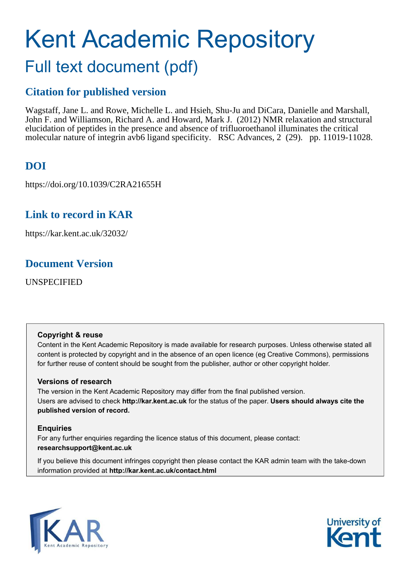# Kent Academic Repository Full text document (pdf)

### **Citation for published version**

Wagstaff, Jane L. and Rowe, Michelle L. and Hsieh, Shu-Ju and DiCara, Danielle and Marshall, John F. and Williamson, Richard A. and Howard, Mark J. (2012) NMR relaxation and structural elucidation of peptides in the presence and absence of trifluoroethanol illuminates the critical molecular nature of integrin avb6 ligand specificity. RSC Advances, 2 (29). pp. 11019-11028.

### **DOI**

https://doi.org/10.1039/C2RA21655H

### **Link to record in KAR**

https://kar.kent.ac.uk/32032/

### **Document Version**

UNSPECIFIED

#### **Copyright & reuse**

Content in the Kent Academic Repository is made available for research purposes. Unless otherwise stated all content is protected by copyright and in the absence of an open licence (eg Creative Commons), permissions for further reuse of content should be sought from the publisher, author or other copyright holder.

#### **Versions of research**

The version in the Kent Academic Repository may differ from the final published version. Users are advised to check **http://kar.kent.ac.uk** for the status of the paper. **Users should always cite the published version of record.**

#### **Enquiries**

For any further enquiries regarding the licence status of this document, please contact: **researchsupport@kent.ac.uk**

If you believe this document infringes copyright then please contact the KAR admin team with the take-down information provided at **http://kar.kent.ac.uk/contact.html**



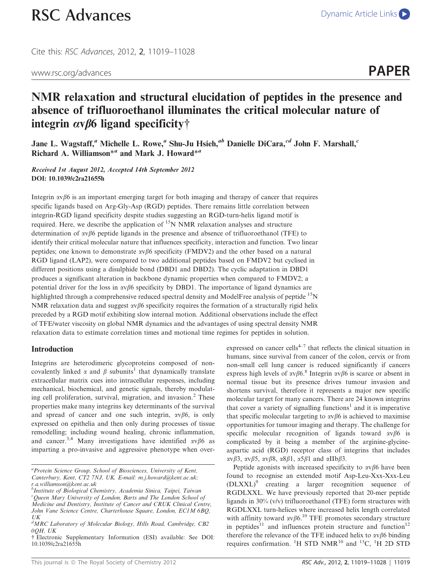## [RSC Advances](http://dx.doi.org/10.1039/c2ra21655h) [Dynamic Article Links](http://dx.doi.org/10.1039/c2ra21655h)

Cite this: RSC Advances, 2012, 2, 11019–11028



### NMR relaxation and structural elucidation of peptides in the presence and absence of trifluoroethanol illuminates the critical molecular nature of integrin  $\alpha \nu \beta$ 6 ligand specificity†

Jane L. Wagstaff,<sup>a</sup> Michelle L. Rowe,<sup>a</sup> Shu-Ju Hsieh,<sup>ab</sup> Danielle DiCara,<sup>cd</sup> John F. Marshall,<sup>c</sup> Richard A. Williamson<sup>\*a</sup> and Mark J. Howard<sup>\*a</sup>

Received 1st August 2012, Accepted 14th September 2012 DOI: 10.1039/c2ra21655h

Integrin  $\alpha$  $\beta$ 6 is an important emerging target for both imaging and therapy of cancer that requires specific ligands based on Arg-Gly-Asp (RGD) peptides. There remains little correlation between integrin-RGD ligand specificity despite studies suggesting an RGD-turn-helix ligand motif is required. Here, we describe the application of <sup>15</sup>N NMR relaxation analyses and structure determination of  $\alpha \nu \beta 6$  peptide ligands in the presence and absence of trifluoroethanol (TFE) to identify their critical molecular nature that influences specificity, interaction and function. Two linear peptides; one known to demonstrate  $\alpha$  /6 specificity (FMDV2) and the other based on a natural RGD ligand (LAP2), were compared to two additional peptides based on FMDV2 but cyclised in different positions using a disulphide bond (DBD1 and DBD2). The cyclic adaptation in DBD1 produces a significant alteration in backbone dynamic properties when compared to FMDV2; a potential driver for the loss in  $\alpha \nu \beta 6$  specificity by DBD1. The importance of ligand dynamics are highlighted through a comprehensive reduced spectral density and ModelFree analysis of peptide <sup>15</sup>N NMR relaxation data and suggest  $\alpha \beta$ 6 specificity requires the formation of a structurally rigid helix preceded by a RGD motif exhibiting slow internal motion. Additional observations include the effect of TFE/water viscosity on global NMR dynamics and the advantages of using spectral density NMR relaxation data to estimate correlation times and motional time regimes for peptides in solution.

#### Introduction

Integrins are heterodimeric glycoproteins composed of noncovalently linked  $\alpha$  and  $\beta$  subunits<sup>1</sup> that dynamically translate extracellular matrix cues into intracellular responses, including mechanical, biochemical, and genetic signals, thereby modulating cell proliferation, survival, migration, and invasion.<sup>2</sup> These properties make many integrins key determinants of the survival and spread of cancer and one such integrin,  $\alpha v \beta 6$ , is only expressed on epithelia and then only during processes of tissue remodelling; including wound healing, chronic inflammation, and cancer.<sup>3,4</sup> Many investigations have identified  $\alpha \nu \beta 6$  as imparting a pro-invasive and aggressive phenotype when overexpressed on cancer cells<sup> $4-7$ </sup> that reflects the clinical situation in humans, since survival from cancer of the colon, cervix or from non-small cell lung cancer is reduced significantly if cancers express high levels of  $\alpha v \beta 6$ .<sup>8</sup> Integrin  $\alpha v \beta 6$  is scarce or absent in normal tissue but its presence drives tumour invasion and shortens survival, therefore it represents a major new specific molecular target for many cancers. There are 24 known integrins that cover a variety of signalling functions<sup>1</sup> and it is imperative that specific molecular targeting to  $\alpha v \beta 6$  is achieved to maximise opportunities for tumour imaging and therapy. The challenge for specific molecular recognition of ligands toward  $\alpha v \beta 6$  is complicated by it being a member of the arginine-glycineaspartic acid (RGD) receptor class of integrins that includes  $\alpha \varphi \beta$ 3,  $\alpha \varphi \beta$ 5,  $\alpha \varphi \beta$ 8,  $\alpha$ 8 $\beta$ 1,  $\alpha$ 5 $\beta$ 1 and  $\alpha$ IIb $\beta$ 3.

Peptide agonists with increased specificity to  $\alpha \nu \beta 6$  have been found to recognise an extended motif Asp-Leu-Xxx-Xxx-Leu (DLXXL)<sup>9</sup> creating a larger recognition sequence of RGDLXXL. We have previously reported that 20-mer peptide ligands in 30% (v/v) trifluoroethanol (TFE) form structures with RGDLXXL turn-helices where increased helix length correlated with affinity toward  $\alpha v \beta 6$ .<sup>10</sup> TFE promotes secondary structure in peptides<sup>11</sup> and influences protein structure and function<sup>12</sup> therefore the relevance of the TFE induced helix to  $\alpha \nu \beta 6$  binding requires confirmation. <sup>1</sup>H STD NMR<sup>10</sup> and <sup>13</sup>C, <sup>1</sup>H 2D STD

*<sup>a</sup>Protein Science Group, School of Biosciences, University of Kent, Canterbury, Kent, CT2 7NJ, UK. E-mail: m.j.howard@kent.ac.uk; r.a.williamson@kent.ac.uk*

*b Institute of Biological Chemistry, Academia Sinica, Taipei, Taiwan <sup>c</sup>Queen Mary University of London, Barts and The London School of Medicine and Dentistry, Institute of Cancer and CRUK Clinical Centre, John Vane Science Centre, Charterhouse Square, London, EC1M 6BQ, UK*

*<sup>d</sup>MRC Laboratory of Molecular Biology, Hills Road, Cambridge, CB2 0QH, UK*

<sup>{</sup> Electronic Supplementary Information (ESI) available: See DOI: 10.1039/c2ra21655h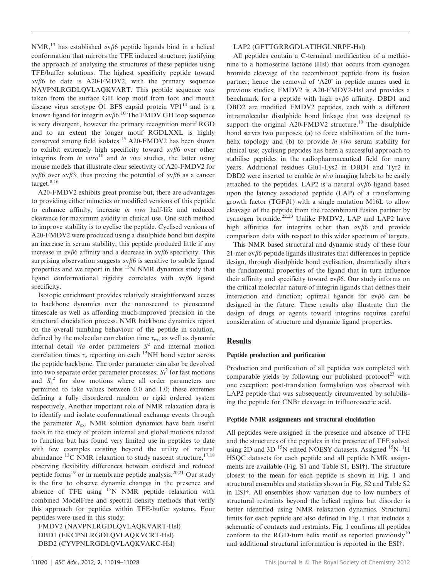NMR,<sup>13</sup> has established  $\alpha \nu \beta 6$  peptide ligands bind in a helical conformation that mirrors the TFE induced structure; justifying the approach of analysing the structures of these peptides using TFE/buffer solutions. The highest specificity peptide toward  $\alpha v\beta6$  to date is A20-FMDV2, with the primary sequence NAVPNLRGDLQVLAQKVART. This peptide sequence was taken from the surface GH loop motif from foot and mouth disease virus serotype O1 BFS capsid protein  $VP1^{14}$  and is a known ligand for integrin  $\alpha v \beta 6$ .<sup>10</sup> The FMDV GH loop sequence is very divergent, however the primary recognition motif RGD and to an extent the longer motif RGDLXXL is highly conserved among field isolates.<sup>15</sup> A20-FMDV2 has been shown to exhibit extremely high specificity toward  $\alpha v \beta 6$  over other integrins from *in vitro*<sup>10</sup> and *in vivo* studies, the latter using mouse models that illustrate clear selectivity of A20-FMDV2 for  $\alpha \nu \beta 6$  over  $\alpha \nu \beta 3$ ; thus proving the potential of  $\alpha \nu \beta 6$  as a cancer target.8,16

A20-FMDV2 exhibits great promise but, there are advantages to providing either mimetics or modified versions of this peptide to enhance affinity, increase *in vivo* half-life and reduced clearance for maximum avidity in clinical use. One such method to improve stability is to cyclise the peptide. Cyclised versions of A20-FMDV2 were produced using a disulphide bond but despite an increase in serum stability, this peptide produced little if any increase in  $\alpha v\beta6$  affinity and a decrease in  $\alpha v\beta6$  specificity. This surprising observation suggests  $\alpha \beta 6$  is sensitive to subtle ligand properties and we report in this <sup>15</sup>N NMR dynamics study that ligand conformational rigidity correlates with  $\alpha \beta 6$  ligand specificity.

Isotopic enrichment provides relatively straightforward access to backbone dynamics over the nanosecond to picosecond timescale as well as affording much-improved precision in the structural elucidation process. NMR backbone dynamics report on the overall tumbling behaviour of the peptide in solution, defined by the molecular correlation time  $\tau_m$ , as well as dynamic internal detail *via* order parameters  $S^2$  and internal motion correlation times  $\tau_e$  reporting on each <sup>15</sup>NH bond vector across the peptide backbone. The order parameter can also be devolved into two separate order parameter processes; *S*<sup>f</sup> 2 for fast motions and  $S_s^2$  for slow motions where all order parameters are permitted to take values between 0.0 and 1.0; these extremes defining a fully disordered random or rigid ordered system respectively. Another important role of NMR relaxation data is to identify and isolate conformational exchange events through the parameter  $R_{ex}$ . NMR solution dynamics have been useful tools in the study of protein internal and global motions related to function but has found very limited use in peptides to date with few examples existing beyond the utility of natural abundance  $^{13}$ C NMR relaxation to study nascent structure,  $^{17,18}$ observing flexibility differences between oxidised and reduced peptide forms<sup>19</sup> or in membrane peptide analysis.<sup>20,21</sup> Our study is the first to observe dynamic changes in the presence and absence of TFE using  $15N$  NMR peptide relaxation with combined ModelFree and spectral density methods that verify this approach for peptides within TFE-buffer systems. Four peptides were used in this study:

FMDV2 (NAVPNLRGDLQVLAQKVART-Hsl) DBD1 (EKCPNLRGDLQVLAQKVCRT-Hsl) DBD2 (CYVPNLRGDLQVLAQKVAKC-Hsl)

#### LAP2 (GFTTGRRGDLATIHGLNRPF-Hsl)

All peptides contain a C-terminal modification of a methionine to a homoserine lactone (Hsl) that occurs from cyanogen bromide cleavage of the recombinant peptide from its fusion partner; hence the removal of 'A20' in peptide names used in previous studies; FMDV2 is A20-FMDV2-Hsl and provides a benchmark for a peptide with high  $\alpha \beta$ 6 affinity. DBD1 and DBD2 are modified FMDV2 peptides, each with a different intramolecular disulphide bond linkage that was designed to support the original A20-FMDV2 structure.<sup>10</sup> The disulphide bond serves two purposes; (a) to force stabilisation of the turnhelix topology and (b) to provide *in vivo* serum stability for clinical use; cyclising peptides has been a successful approach to stabilise peptides in the radiopharmaceutical field for many years. Additional residues Glu1-Lys2 in DBD1 and Tyr2 in DBD2 were inserted to enable *in vivo* imaging labels to be easily attached to the peptides. LAP2 is a natural  $\alpha \beta$ 6 ligand based upon the latency associated peptide (LAP) of a transforming growth factor (TGF $\beta$ 1) with a single mutation M16L to allow cleavage of the peptide from the recombinant fusion partner by cyanogen bromide.<sup>22,23</sup> Unlike FMDV2, LAP and LAP2 have high affinities for integrins other than  $\alpha \nu \beta 6$  and provide comparison data with respect to this wider spectrum of targets.

This NMR based structural and dynamic study of these four 21-mer  $\alpha \nu \beta 6$  peptide ligands illustrates that differences in peptide design, through disulphide bond cyclisation, dramatically alters the fundamental properties of the ligand that in turn influence their affinity and specificity toward  $\alpha \beta$ 6. Our study informs on the critical molecular nature of integrin ligands that defines their interaction and function; optimal ligands for  $\alpha \nu \beta 6$  can be designed in the future. These results also illustrate that the design of drugs or agents toward integrins requires careful consideration of structure and dynamic ligand properties.

#### **Results**

#### Peptide production and purification

Production and purification of all peptides was completed with comparable yields by following our published protocol<sup>23</sup> with one exception: post-translation formylation was observed with LAP2 peptide that was subsequently circumvented by solubilising the peptide for CNBr cleavage in trifluoroacetic acid.

#### Peptide NMR assignments and structural elucidation

All peptides were assigned in the presence and absence of TFE and the structures of the peptides in the presence of TFE solved using 2D and 3D <sup>15</sup>N edited NOESY datasets. Assigned  $15N^{-1}H$ HSQC datasets for each peptide and all peptide NMR assignments are available (Fig. S1 and Table S1, ESI†). The structure closest to the mean for each peptide is shown in Fig. 1 and structural ensembles and statistics shown in Fig. S2 and Table S2 in ESI†. All ensembles show variation due to low numbers of structural restraints beyond the helical regions but disorder is better identified using NMR relaxation dynamics. Structural limits for each peptide are also defined in Fig. 1 that includes a schematic of contacts and restraints. Fig. 1 confirms all peptides conform to the RGD-turn helix motif as reported previously<sup>10</sup> and additional structural information is reported in the ESI†.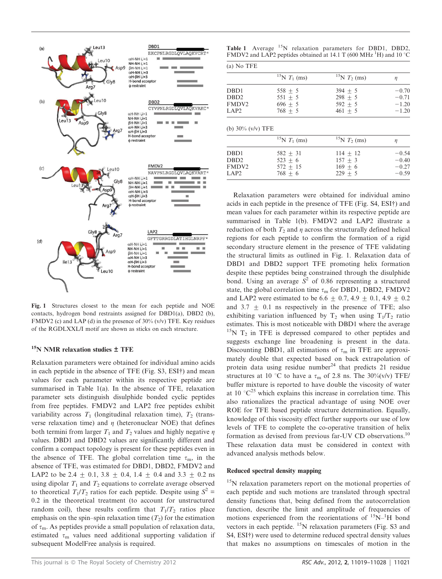

Fig. 1 Structures closest to the mean for each peptide and NOE contacts, hydrogen bond restraints assigned for DBD1(a), DBD2 (b), FMDV2 (c) and LAP (d) in the presence of 30% (v/v) TFE. Key residues of the RGDLXXL/I motif are shown as sticks on each structure.

#### $15$ N NMR relaxation studies  $\pm$  TFE

Relaxation parameters were obtained for individual amino acids in each peptide in the absence of TFE (Fig. S3, ESI†) and mean values for each parameter within its respective peptide are summarised in Table 1(a). In the absence of TFE, relaxation parameter sets distinguish disulphide bonded cyclic peptides from free peptides. FMDV2 and LAP2 free peptides exhibit variability across  $T_1$  (longitudinal relaxation time),  $T_2$  (transverse relaxation time) and  $\eta$  (heteronuclear NOE) that defines both termini from larger  $T_1$  and  $T_2$  values and highly negative  $\eta$ values. DBD1 and DBD2 values are significantly different and confirm a compact topology is present for these peptides even in the absence of TFE. The global correlation time  $\tau_{\rm m}$ , in the absence of TFE, was estimated for DBD1, DBD2, FMDV2 and LAP2 to be 2.4  $\pm$  0.1, 3.8  $\pm$  0.4, 1.4  $\pm$  0.4 and 3.3  $\pm$  0.2 ns using dipolar  $T_1$  and  $T_2$  equations to correlate average observed to theoretical  $T_1/T_2$  ratios for each peptide. Despite using  $S^2$  = 0.2 in the theoretical treatment (to account for unstructured random coil), these results confirm that  $T_1/T_2$  ratios place emphasis on the spin–spin relaxation time  $(T_2)$  for the estimation of  $\tau_{\rm m}$ . As peptides provide a small population of relaxation data, estimated  $\tau_{\rm m}$  values need additional supporting validation if subsequent ModelFree analysis is required.

|  |  | Table 1 Average <sup>15</sup> N relaxation parameters for DBD1, DBD2, |  |  |
|--|--|-----------------------------------------------------------------------|--|--|
|  |  | FMDV2 and LAP2 peptides obtained at 14.1 T (600 MHz $^1$ H) and 10 °C |  |  |

|                      | ${}^{15}N T_1$ (ms) | ${}^{15}N T_2$ (ms) | $\eta$             |
|----------------------|---------------------|---------------------|--------------------|
| DBD1                 | 558 $\pm$ 5         | $394 + 5$           | $-0.70$            |
| DB <sub>D</sub> 2    | $551 + 5$           | $298 + 5$           | $-0.71$            |
| FMDV <sub>2</sub>    | $696 + 5$           | $592 + 5$           | $-1.20$            |
| LAP <sub>2</sub>     | $768 + 5$           |                     | $-1.20$            |
|                      |                     | $461 + 5$           |                    |
| (b) $30\%$ (v/v) TFE | ${}^{15}N T_1$ (ms) | ${}^{15}N T_2$ (ms) | $\eta$             |
| DB <sub>D1</sub>     | $582 + 31$          | $114 + 12$          |                    |
| DB <sub>D</sub> 2    | $523 + 6$           | $157 + 3$           | $-0.54$<br>$-0.40$ |
| <b>FMDV2</b>         | $572 + 15$          | $169 + 6$           | $-0.27$            |

Relaxation parameters were obtained for individual amino acids in each peptide in the presence of TFE (Fig. S4, ESI†) and mean values for each parameter within its respective peptide are summarised in Table 1(b). FMDV2 and LAP2 illustrate a reduction of both  $T_2$  and  $\eta$  across the structurally defined helical regions for each peptide to confirm the formation of a rigid secondary structure element in the presence of TFE validating the structural limits as outlined in Fig. 1. Relaxation data of DBD1 and DBD2 support TFE promoting helix formation despite these peptides being constrained through the disulphide bond. Using an average  $S^2$  of 0.86 representing a structured state, the global correlation time  $\tau_{\rm m}$  for DBD1, DBD2, FMDV2 and LAP2 were estimated to be 6.6  $\pm$  0.7, 4.9  $\pm$  0.1, 4.9  $\pm$  0.2 and  $3.7 \pm 0.1$  ns respectively in the presence of TFE; also exhibiting variation influenced by  $T_2$  when using  $T_1/T_2$  ratio estimates. This is most noticeable with DBD1 where the average  $15N$  T<sub>2</sub> in TFE is depressed compared to other peptides and suggests exchange line broadening is present in the data. Discounting DBD1, all estimations of  $\tau_m$  in TFE are approximately double that expected based on back extrapolation of protein data using residue number<sup>24</sup> that predicts 21 residue structures at 10 °C to have a  $\tau_m$  of 2.8 ns. The 30%(v/v) TFE/ buffer mixture is reported to have double the viscosity of water at 10  $^{\circ}C^{25}$  which explains this increase in correlation time. This also rationalizes the practical advantage of using NOE over ROE for TFE based peptide structure determination. Equally, knowledge of this viscosity effect further supports our use of low levels of TFE to complete the co-operative transition of helix formation as devised from previous far-UV CD observations.<sup>10</sup> These relaxation data must be considered in context with advanced analysis methods below.

#### Reduced spectral density mapping

<sup>15</sup>N relaxation parameters report on the motional properties of each peptide and such motions are translated through spectral density functions that, being defined from the autocorrelation function, describe the limit and amplitude of frequencies of motions experienced from the reorientations of  ${}^{15}N-{}^{1}H$  bond vectors in each peptide.  $^{15}$ N relaxation parameters (Fig. S3 and S4, ESI<sup>†</sup>) were used to determine reduced spectral density values that makes no assumptions on timescales of motion in the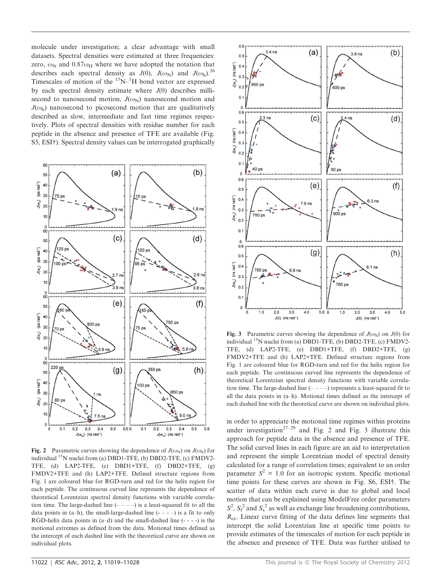molecule under investigation; a clear advantage with small datasets. Spectral densities were estimated at three frequencies: zero,  $\omega_N$  and 0.87 $\omega_H$  where we have adopted the notation that describes each spectral density as  $J(0)$ ,  $J(\omega_N)$  and  $J(\omega_h)$ .<sup>26</sup> Timescales of motion of the  $15N$ – $1H$  bond vector are expressed by each spectral density estimate where  $J(0)$  describes millisecond to nanosecond motion,  $J(\omega_N)$  nanosecond motion and  $J(\omega_h)$  nanosecond to picosecond motion that are qualitatively described as slow, intermediate and fast time regimes respectively. Plots of spectral densities with residue number for each peptide in the absence and presence of TFE are available (Fig. S5, ESI†). Spectral density values can be interrogated graphically



Fig. 2 Parametric curves showing the dependence of  $J(\omega_N)$  on  $J(\omega_h)$  for individual  $^{15}N$  nuclei from (a) DBD1-TFE, (b) DBD2-TFE, (c) FMDV2-TFE, (d) LAP2-TFE, (e) DBD1+TFE, (f) DBD2+TFE, (g) FMDV2+TFE and (h) LAP2+TFE. Defined structure regions from Fig. 1 are coloured blue for RGD-turn and red for the helix region for each peptide. The continuous curved line represents the dependence of theoretical Lorentzian spectral density functions with variable correlation time. The large-dashed line  $(- - -)$  is a least-squared fit to all the data points in  $(a-h)$ , the small-large-dashed line  $(- - -)$  is a fit to only RGD-helix data points in  $(a-d)$  and the small-dashed line  $(- - -)$  is the motional extremes as defined from the data. Motional times defined as the intercept of each dashed line with the theoretical curve are shown on individual plots.



Fig. 3 Parametric curves showing the dependence of  $J(\omega_h)$  on  $J(0)$  for individual  $^{15}N$  nuclei from (a) DBD1-TFE, (b) DBD2-TFE, (c) FMDV2-TFE, (d) LAP2-TFE, (e) DBD1+TFE, (f) DBD2+TFE, (g) FMDV2+TFE and (h) LAP2+TFE. Defined structure regions from Fig. 1 are coloured blue for RGD-turn and red for the helix region for each peptide. The continuous curved line represents the dependence of theoretical Lorentzian spectral density functions with variable correlation time. The large-dashed line  $(- - -)$  represents a least-squared fit to all the data points in (a–h). Motional times defined as the intercept of each dashed line with the theoretical curve are shown on individual plots.

in order to appreciate the motional time regimes within proteins under investigation<sup>27–29</sup> and Fig. 2 and Fig. 3 illustrate this approach for peptide data in the absence and presence of TFE. The solid curved lines in each figure are an aid to interpretation and represent the simple Lorentzian model of spectral density calculated for a range of correlation times; equivalent to an order parameter  $S^2 = 1.0$  for an isotropic system. Specific motional time points for these curves are shown in Fig. S6, ESI<sup>†</sup>. The scatter of data within each curve is due to global and local motion that can be explained using ModelFree order parameters  $S^2$ ,  $S_f^2$  and  $S_s^2$  as well as exchange line broadening contributions, *R*ex. Linear curve fitting of the data defines line segments that intercept the solid Lorentzian line at specific time points to provide estimates of the timescales of motion for each peptide in the absence and presence of TFE. Data was further utilised to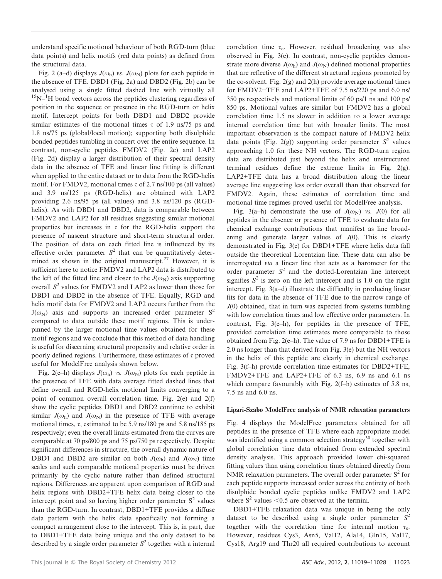understand specific motional behaviour of both RGD-turn (blue data points) and helix motifs (red data points) as defined from the structural data.

Fig. 2 (a–d) displays  $J(\omega_h)$  *vs.*  $J(\omega_N)$  plots for each peptide in the absence of TFE. DBD1 (Fig. 2a) and DBD2 (Fig. 2b) can be analysed using a single fitted dashed line with virtually all  $15N$ – $1H$  bond vectors across the peptides clustering regardless of position in the sequence or presence in the RGD-turn or helix motif. Intercept points for both DBD1 and DBD2 provide similar estimates of the motional times  $\tau$  of 1.9 ns/75 ps and 1.8 ns/75 ps (global/local motion); supporting both disulphide bonded peptides tumbling in concert over the entire sequence. In contrast, non-cyclic peptides FMDV2 (Fig. 2c) and LAP2 (Fig. 2d) display a larger distribution of their spectral density data in the absence of TFE and linear line fitting is different when applied to the entire dataset or to data from the RGD-helix motif. For FMDV2, motional times  $\tau$  of 2.7 ns/100 ps (all values) and 3.9 ns/125 ps (RGD-helix) are obtained with LAP2 providing 2.6 ns/95 ps (all values) and 3.8 ns/120 ps (RGDhelix). As with DBD1 and DBD2, data is comparable between FMDV2 and LAP2 for all residues suggesting similar motional properties but increases in  $\tau$  for the RGD-helix support the presence of nascent structure and short-term structural order. The position of data on each fitted line is influenced by its effective order parameter  $S^2$  that can be quantitatively determined as shown in the original manuscript.<sup>27</sup> However, it is sufficient here to notice FMDV2 and LAP2 data is distributed to the left of the fitted line and closer to the  $J(\omega_N)$  axis supporting overall *S* 2 values for FMDV2 and LAP2 as lower than those for DBD1 and DBD2 in the absence of TFE. Equally, RGD and helix motif data for FMDV2 and LAP2 occurs further from the  $J(\omega_N)$  axis and supports an increased order parameter  $S^2$ compared to data outside these motif regions. This is underpinned by the larger motional time values obtained for these motif regions and we conclude that this method of data handling is useful for discerning structural propensity and relative order in poorly defined regions. Furthermore, these estimates of  $\tau$  proved useful for ModelFree analysis shown below.

Fig. 2(e–h) displays  $J(\omega_h)$  *vs.*  $J(\omega_N)$  plots for each peptide in the presence of TFE with data average fitted dashed lines that define overall and RGD-helix motional limits converging to a point of common overall correlation time. Fig. 2(e) and 2(f) show the cyclic peptides DBD1 and DBD2 continue to exhibit similar  $J(\omega_h)$  and  $J(\omega_N)$  in the presence of TFE with average motional times,  $\tau$ , estimated to be 5.9 ns/180 ps and 5.8 ns/185 ps respectively; even the overall limits estimated from the curves are comparable at 70 ps/800 ps and 75 ps/750 ps respectively. Despite significant differences in structure, the overall dynamic nature of DBD1 and DBD2 are similar on both  $J(\omega_h)$  and  $J(\omega_N)$  time scales and such comparable motional properties must be driven primarily by the cyclic nature rather than defined structural regions. Differences are apparent upon comparison of RGD and helix regions with DBD2+TFE helix data being closer to the intercept point and so having higher order parameter  $S<sup>2</sup>$  values than the RGD-turn. In contrast, DBD1+TFE provides a diffuse data pattern with the helix data specifically not forming a compact arrangement close to the intercept. This is, in part, due to DBD1+TFE data being unique and the only dataset to be described by a single order parameter  $S<sup>2</sup>$  together with a internal

correlation time  $\tau_e$ . However, residual broadening was also observed in Fig. 3(e). In contrast, non-cyclic peptides demonstrate more diverse  $J(\omega_h)$  and  $J(\omega_N)$  defined motional properties that are reflective of the different structural regions promoted by the co-solvent. Fig. 2(g) and 2(h) provide average motional times for FMDV2+TFE and LAP2+TFE of 7.5 ns/220 ps and 6.0 ns/ 350 ps respectively and motional limits of 60 ps/1 ns and 100 ps/ 850 ps. Motional values are similar but FMDV2 has a global correlation time 1.5 ns slower in addition to a lower average internal correlation time but with broader limits. The most important observation is the compact nature of FMDV2 helix data points (Fig. 2(g)) supporting order parameter  $S^2$  values approaching 1.0 for these NH vectors. The RGD-turn region data are distributed just beyond the helix and unstructured terminal residues define the extreme limits in Fig. 2(g). LAP2+TFE data has a broad distribution along the linear average line suggesting less order overall than that observed for FMDV2. Again, these estimates of correlation time and motional time regimes proved useful for ModelFree analysis.

Fig. 3(a–h) demonstrate the use of  $J(\omega_N)$  *vs.*  $J(0)$  for all peptides in the absence or presence of TFE to evaluate data for chemical exchange contributions that manifest as line broadening and generate larger values of *J*(0). This is clearly demonstrated in Fig. 3(e) for DBD1+TFE where helix data fall outside the theoretical Lorentzian line. These data can also be interrogated *via* a linear line that acts as a barometer for the order parameter  $S<sup>2</sup>$  and the dotted-Lorentzian line intercept signifies  $S^2$  is zero on the left intercept and is 1.0 on the right intercept. Fig. 3(a–d) illustrate the difficulty in producing linear fits for data in the absence of TFE due to the narrow range of *J*(0) obtained, that in turn was expected from systems tumbling with low correlation times and low effective order parameters. In contrast, Fig. 3(e–h), for peptides in the presence of TFE, provided correlation time estimates more comparable to those obtained from Fig. 2(e–h). The value of 7.9 ns for DBD1+TFE is 2.0 ns longer than that derived from Fig. 3(e) but the NH vectors in the helix of this peptide are clearly in chemical exchange. Fig. 3(f–h) provide correlation time estimates for DBD2+TFE, FMDV2+TFE and LAP2+TFE of 6.3 ns, 6.9 ns and 6.1 ns which compare favourably with Fig. 2(f-h) estimates of 5.8 ns, 7.5 ns and 6.0 ns.

#### Lipari-Szabo ModelFree analysis of NMR relaxation parameters

Fig. 4 displays the ModelFree parameters obtained for all peptides in the presence of TFE where each appropriate model was identified using a common selection strategy<sup>30</sup> together with global correlation time data obtained from extended spectral density analysis. This approach provided lower chi-squared fitting values than using correlation times obtained directly from NMR relaxation parameters. The overall order parameter  $S^2$  for each peptide supports increased order across the entirety of both disulphide bonded cyclic peptides unlike FMDV2 and LAP2 where  $S^2$  values <0.5 are observed at the termini.

DBD1+TFE relaxation data was unique in being the only dataset to be described using a single order parameter *S* 2 together with the correlation time for internal motion  $\tau_e$ . However, residues Cys3, Asn5, Val12, Ala14, Gln15, Val17, Cys18, Arg19 and Thr20 all required contributions to account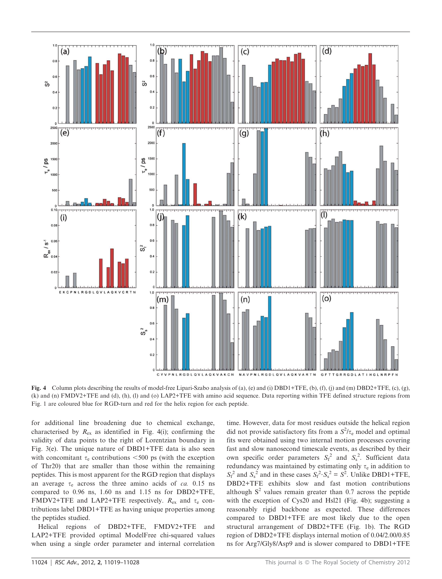

Fig. 4 Column plots describing the results of model-free Lipari-Szabo analysis of (a), (e) and (i) DBD1+TFE, (b), (f), (j) and (m) DBD2+TFE, (c), (g), (k) and (n) FMDV2+TFE and (d), (h), (l) and (o) LAP2+TFE with amino acid sequence. Data reporting within TFE defined structure regions from Fig. 1 are coloured blue for RGD-turn and red for the helix region for each peptide.

for additional line broadening due to chemical exchange, characterised by  $R_{ex}$  as identified in Fig. 4(i); confirming the validity of data points to the right of Lorentzian boundary in Fig. 3(e). The unique nature of DBD1+TFE data is also seen with concomitant  $\tau_e$  contributions <500 ps (with the exception of Thr20) that are smaller than those within the remaining peptides. This is most apparent for the RGD region that displays an average  $\tau_e$  across the three amino acids of *ca.* 0.15 ns compared to 0.96 ns, 1.60 ns and 1.15 ns for DBD2+TFE, FMDV2+TFE and LAP2+TFE respectively.  $R_{\text{ex}}$  and  $\tau_e$  contributions label DBD1+TFE as having unique properties among the peptides studied.

Helical regions of DBD2+TFE, FMDV2+TFE and LAP2+TFE provided optimal ModelFree chi-squared values when using a single order parameter and internal correlation time. However, data for most residues outside the helical region did not provide satisfactory fits from a  $S^2/\tau_e$  model and optimal fits were obtained using two internal motion processes covering fast and slow nanosecond timescale events, as described by their own specific order parameters  $S_f^2$  and  $S_s^2$ . Sufficient data redundancy was maintained by estimating only  $\tau_e$  in addition to  $S_f^2$  and  $S_s^2$  and in these cases  $S_f^2 \cdot S_s^2 = S^2$ . Unlike DBD1+TFE, DBD2+TFE exhibits slow and fast motion contributions although  $S<sup>2</sup>$  values remain greater than 0.7 across the peptide with the exception of Cys20 and Hsl21 (Fig. 4b); suggesting a reasonably rigid backbone as expected. These differences compared to DBD1+TFE are most likely due to the open structural arrangement of DBD2+TFE (Fig. 1b). The RGD region of DBD2+TFE displays internal motion of 0.04/2.00/0.85 ns for Arg7/Gly8/Asp9 and is slower compared to DBD1+TFE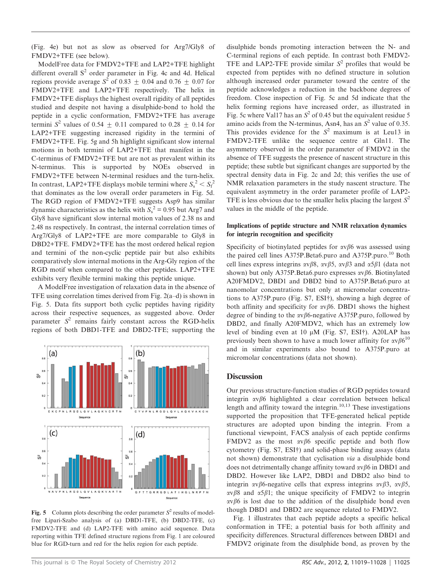(Fig. 4e) but not as slow as observed for Arg7/Gly8 of FMDV2+TFE (see below).

ModelFree data for FMDV2+TFE and LAP2+TFE highlight different overall  $S<sup>2</sup>$  order parameter in Fig. 4c and 4d. Helical regions provide average  $S^2$  of 0.83  $\pm$  0.04 and 0.76  $\pm$  0.07 for FMDV2+TFE and LAP2+TFE respectively. The helix in FMDV2+TFE displays the highest overall rigidity of all peptides studied and despite not having a disulphide-bond to hold the peptide in a cyclic conformation, FMDV2+TFE has average termini  $S^2$  values of 0.54  $\pm$  0.11 compared to 0.28  $\pm$  0.14 for LAP2+TFE suggesting increased rigidity in the termini of FMDV2+TFE. Fig. 5g and 5h highlight significant slow internal motions in both termini of LAP2+TFE that manifest in the C-terminus of FMDV2+TFE but are not as prevalent within its N-terminus. This is supported by NOEs observed in FMDV2+TFE between N-terminal residues and the turn-helix. In contrast, LAP2+TFE displays mobile termini where  $S_s^2 < S_f^2$ that dominates as the low overall order parameters in Fig. 5d. The RGD region of FMDV2+TFE suggests Asp9 has similar dynamic characteristics as the helix with  $S_s^2 = 0.95$  but Arg7 and Gly8 have significant slow internal motion values of 2.38 ns and 2.48 ns respectively. In contrast, the internal correlation times of Arg7/Gly8 of LAP2+TFE are more comparable to Gly8 in DBD2+TFE. FMDV2+TFE has the most ordered helical region and termini of the non-cyclic peptide pair but also exhibits comparatively slow internal motions in the Arg-Gly region of the RGD motif when compared to the other peptides. LAP2+TFE exhibits very flexible termini making this peptide unique.

A ModelFree investigation of relaxation data in the absence of TFE using correlation times derived from Fig. 2(a–d) is shown in Fig. 5. Data fits support both cyclic peptides having rigidity across their respective sequences, as suggested above. Order parameter  $S^2$  remains fairly constant across the RGD-helix regions of both DBD1-TFE and DBD2-TFE; supporting the



Fig. 5 Column plots describing the order parameter  $S^2$  results of modelfree Lipari-Szabo analysis of (a) DBD1-TFE, (b) DBD2-TFE, (c) FMDV2-TFE and (d) LAP2-TFE with amino acid sequence. Data reporting within TFE defined structure regions from Fig. 1 are coloured blue for RGD-turn and red for the helix region for each peptide.

disulphide bonds promoting interaction between the N- and C-terminal regions of each peptide. In contrast both FMDV2- TFE and LAP2-TFE provide similar  $S^2$  profiles that would be expected from peptides with no defined structure in solution although increased order parameter toward the centre of the peptide acknowledges a reduction in the backbone degrees of freedom. Close inspection of Fig. 5c and 5d indicate that the helix forming regions have increased order, as illustrated in Fig. 5c where Val17 has an  $S^2$  of 0.45 but the equivalent residue 5 amino acids from the N-terminus, Asn4, has an  $S^2$  value of 0.35. This provides evidence for the  $S<sup>2</sup>$  maximum is at Leu13 in FMDV2-TFE unlike the sequence centre at Gln11. The asymmetry observed in the order parameter of FMDV2 in the absence of TFE suggests the presence of nascent structure in this peptide; these subtle but significant changes are supported by the spectral density data in Fig. 2c and 2d; this verifies the use of NMR relaxation parameters in the study nascent structure. The equivalent asymmetry in the order parameter profile of LAP2- TFE is less obvious due to the smaller helix placing the largest  $S^2$ values in the middle of the peptide.

#### Implications of peptide structure and NMR relaxation dynamics for integrin recognition and specificity

Specificity of biotinylated peptides for  $\alpha \nu \beta 6$  was assessed using the paired cell lines A375P.Beta6.puro and A375P.puro.<sup>10</sup> Both cell lines express integrins  $\alpha \nu \beta 8$ ,  $\alpha \nu \beta 5$ ,  $\alpha \nu \beta 3$  and  $\alpha 5 \beta 1$  (data not shown) but only A375P.Beta6.puro expresses  $\alpha \nu \beta$ 6. Biotinylated A20FMDV2, DBD1 and DBD2 bind to A375P.Beta6.puro at nanomolar concentrations but only at micromolar concentrations to A375P.puro (Fig. S7, ESI†), showing a high degree of both affinity and specificity for  $\alpha \nu \beta 6$ . DBD1 shows the highest degree of binding to the  $\alpha \nu \beta 6$ -negative A375P.puro, followed by DBD2, and finally A20FMDV2, which has an extremely low level of binding even at 10  $\mu$ M (Fig. S7, ESI†). A20LAP has previously been shown to have a much lower affinity for  $\alpha v \beta 6^{10}$ and in similar experiments also bound to A375P.puro at micromolar concentrations (data not shown).

#### **Discussion**

Our previous structure-function studies of RGD peptides toward integrin  $\alpha \nu \beta 6$  highlighted a clear correlation between helical length and affinity toward the integrin.<sup>10,13</sup> These investigations supported the proposition that TFE-generated helical peptide structures are adopted upon binding the integrin. From a functional viewpoint, FACS analysis of each peptide confirms FMDV2 as the most  $\alpha \nu \beta 6$  specific peptide and both flow cytometry (Fig. S7, ESI†) and solid-phase binding assays (data not shown) demonstrate that cyclisation *via* a disulphide bond does not detrimentally change affinity toward  $\alpha v \beta 6$  in DBD1 and DBD2. However like LAP2, DBD1 and DBD2 also bind to integrin  $\alpha \beta$ 6-negative cells that express integrins  $\alpha \beta$ 3,  $\alpha \beta$ 5,  $\alpha \nu \beta$ 8 and  $\alpha$ 5 $\beta$ 1; the unique specificity of FMDV2 to integrin  $\alpha v\beta6$  is lost due to the addition of the disulphide bond even though DBD1 and DBD2 are sequence related to FMDV2.

Fig. 1 illustrates that each peptide adopts a specific helical conformation in TFE; a potential basis for both affinity and specificity differences. Structural differences between DBD1 and FMDV2 originate from the disulphide bond, as proven by the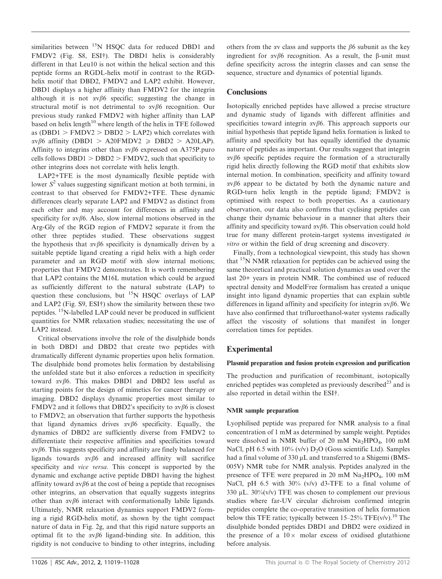similarities between <sup>15</sup>N HSQC data for reduced DBD1 and FMDV2 (Fig. S8, ESI†). The DBD1 helix is considerably different in that Leu10 is not within the helical section and this peptide forms an RGDL-helix motif in contrast to the RGDhelix motif that DBD2, FMDV2 and LAP2 exhibit. However, DBD1 displays a higher affinity than FMDV2 for the integrin although it is not  $\alpha \nu \beta 6$  specific; suggesting the change in structural motif is not detrimental to  $\alpha v \beta 6$  recognition. Our previous study ranked FMDV2 with higher affinity than LAP based on helix length $10$  where length of the helix in TFE followed as (DBD1 > FMDV2 > DBD2 > LAP2) which correlates with  $\alpha \nu \beta 6$  affinity (DBD1 > A20FMDV2  $\geq$  DBD2 > A20LAP). Affinity to integrins other than  $\alpha \nu \beta 6$  expressed on A375P.puro cells follows DBD1 > DBD2 > FMDV2, such that specificity to other integrins does not correlate with helix length.

LAP2+TFE is the most dynamically flexible peptide with lower  $S^2$  values suggesting significant motion at both termini, in contrast to that observed for FMDV2+TFE. These dynamic differences clearly separate LAP2 and FMDV2 as distinct from each other and may account for differences in affinity and specificity for  $\alpha \nu \beta 6$ . Also, slow internal motions observed in the Arg-Gly of the RGD region of FMDV2 separate it from the other three peptides studied. These observations suggest the hypothesis that  $\alpha \nu \beta 6$  specificity is dynamically driven by a suitable peptide ligand creating a rigid helix with a high order parameter and an RGD motif with slow internal motions; properties that FMDV2 demonstrates. It is worth remembering that LAP2 contains the M16L mutation which could be argued as sufficiently different to the natural substrate (LAP) to question these conclusions, but <sup>15</sup>N HSQC overlays of LAP and LAP2 (Fig. S9, ESI†) show the similarity between these two peptides. <sup>15</sup>N-labelled LAP could never be produced in sufficient quantities for NMR relaxation studies; necessitating the use of LAP2 instead.

Critical observations involve the role of the disulphide bonds in both DBD1 and DBD2 that create two peptides with dramatically different dynamic properties upon helix formation. The disulphide bond promotes helix formation by destabilising the unfolded state but it also enforces a reduction in specificity toward  $\alpha v \beta 6$ . This makes DBD1 and DBD2 less useful as starting points for the design of mimetics for cancer therapy or imaging. DBD2 displays dynamic properties most similar to FMDV2 and it follows that DBD2's specificity to  $\alpha \nu \beta 6$  is closest to FMDV2; an observation that further supports the hypothesis that ligand dynamics drives  $\alpha \nu \beta 6$  specificity. Equally, the dynamics of DBD2 are sufficiently diverse from FMDV2 to differentiate their respective affinities and specificities toward  $\alpha \nu \beta$ 6. This suggests specificity and affinity are finely balanced for ligands towards  $\alpha v\beta6$  and increased affinity will sacrifice specificity and *vice versa*. This concept is supported by the dynamic and exchange active peptide DBD1 having the highest affinity toward  $\alpha$ v $\beta$ 6 at the cost of being a peptide that recognises other integrins, an observation that equally suggests integrins other than  $\alpha v\beta6$  interact with conformationally labile ligands. Ultimately, NMR relaxation dynamics support FMDV2 forming a rigid RGD-helix motif, as shown by the tight compact nature of data in Fig. 2g, and that this rigid nature supports an optimal fit to the  $\alpha v\beta6$  ligand-binding site. In addition, this rigidity is not conducive to binding to other integrins, including

others from the  $\alpha v$  class and supports the  $\beta 6$  subunit as the key ingredient for  $\alpha \nu \beta 6$  recognition. As a result, the  $\beta$ -unit must define specificity across the integrin classes and can sense the sequence, structure and dynamics of potential ligands.

#### **Conclusions**

Isotopically enriched peptides have allowed a precise structure and dynamic study of ligands with different affinities and specificities toward integrin  $\alpha \beta$ 6. This approach supports our initial hypothesis that peptide ligand helix formation is linked to affinity and specificity but has equally identified the dynamic nature of peptides as important. Our results suggest that integrin  $\alpha \nu \beta$ 6 specific peptides require the formation of a structurally rigid helix directly following the RGD motif that exhibits slow internal motion. In combination, specificity and affinity toward  $\alpha$ v $\beta$ 6 appear to be dictated by both the dynamic nature and RGD-turn helix length in the peptide ligand; FMDV2 is optimised with respect to both properties. As a cautionary observation, our data also confirms that cyclising peptides can change their dynamic behaviour in a manner that alters their affinity and specificity toward  $\alpha \nu \beta 6$ . This observation could hold true for many different protein-target systems investigated *in vitro* or within the field of drug screening and discovery.

Finally, from a technological viewpoint, this study has shown that  $15N NMR$  relaxation for peptides can be achieved using the same theoretical and practical solution dynamics as used over the last 20+ years in protein NMR. The combined use of reduced spectral density and ModelFree formalism has created a unique insight into ligand dynamic properties that can explain subtle differences in ligand affinity and specificity for integrin  $\alpha v \beta 6$ . We have also confirmed that trifluroethanol-water systems radically affect the viscosity of solutions that manifest in longer correlation times for peptides.

#### **Experimental**

#### Plasmid preparation and fusion protein expression and purification

The production and purification of recombinant, isotopically enriched peptides was completed as previously described<sup>23</sup> and is also reported in detail within the ESI<sup>†</sup>.

#### NMR sample preparation

Lyophilised peptide was prepared for NMR analysis to a final concentration of 1 mM as determined by sample weight. Peptides were dissolved in NMR buffer of 20 mM Na2HPO4, 100 mM NaCl, pH 6.5 with  $10\%$  (v/v) D<sub>2</sub>O (Goss scientific Ltd). Samples had a final volume of 330 µL and transferred to a Shigemi (BMS-005V) NMR tube for NMR analysis. Peptides analyzed in the presence of TFE were prepared in 20 mM  $Na<sub>2</sub>HPO<sub>4</sub>$ , 100 mM NaCl, pH 6.5 with 30% (v/v) d3-TFE to a final volume of 330  $\mu$ L. 30%(v/v) TFE was chosen to complement our previous studies where far-UV circular dichroism confirmed integrin peptides complete the co-operative transition of helix formation below this TFE ratio; typically between  $15-25\%$  TFE(v/v).<sup>10</sup> The disulphide bonded peptides DBD1 and DBD2 were oxidized in the presence of a  $10\times$  molar excess of oxidised glutathione before analysis.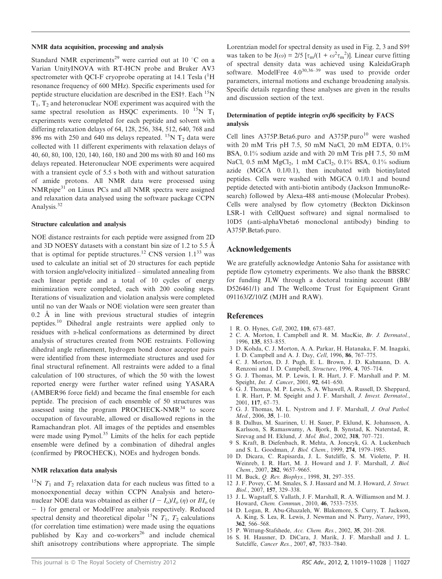#### NMR data acquisition, processing and analysis

Standard NMR experiments<sup>29</sup> were carried out at 10  $^{\circ}$ C on a Varian UnityINOVA with RT-HCN probe and Bruker AV3 spectrometer with QCI-F cryoprobe operating at 14.1 Tesla  $(^1H)$ resonance frequency of 600 MHz). Specific experiments used for peptide structure elucidation are described in the ESI $\dagger$ . Each  $^{15}N$  $T_1$ ,  $T_2$  and heteronuclear NOE experiment was acquired with the same spectral resolution as HSQC experiments.  $10^{-15}$ N T<sub>1</sub> experiments were completed for each peptide and solvent with differing relaxation delays of 64, 128, 256, 384, 512, 640, 768 and 896 ms with 250 and 640 ms delays repeated. <sup>15</sup>N T<sub>2</sub> data were collected with 11 different experiments with relaxation delays of 40, 60, 80, 100, 120, 140, 160, 180 and 200 ms with 80 and 160 ms delays repeated. Heteronuclear NOE experiments were acquired with a transient cycle of 5.5 s both with and without saturation of amide protons. All NMR data were processed using NMRpipe<sup>31</sup> on Linux PCs and all NMR spectra were assigned and relaxation data analysed using the software package CCPN Analysis.<sup>32</sup>

#### Structure calculation and analysis

NOE distance restraints for each peptide were assigned from 2D and 3D NOESY datasets with a constant bin size of 1.2 to 5.5  $\AA$ that is optimal for peptide structures.<sup>12</sup> CNS version  $1.1^{33}$  was used to calculate an initial set of 20 structures for each peptide with torsion angle/velocity initialized – simulated annealing from each linear peptide and a total of 10 cycles of energy minimization were completed, each with 200 cooling steps. Iterations of visualization and violation analysis were completed until no van der Waals or NOE violation were seen greater than  $0.2$  Å in line with previous structural studies of integrin peptides.<sup>10</sup> Dihedral angle restraints were applied only to residues with a-helical conformations as determined by direct analysis of structures created from NOE restraints. Following dihedral angle refinement, hydrogen bond donor acceptor pairs were identified from these intermediate structures and used for final structural refinement. All restraints were added to a final calculation of 100 structures, of which the 50 with the lowest reported energy were further water refined using YASARA (AMBER96 force field) and became the final ensemble for each peptide. The precision of each ensemble of 50 structures was assessed using the program PROCHECK-NMR $34$  to score occupation of favourable, allowed or disallowed regions in the Ramachandran plot. All images of the peptides and ensembles were made using Pymol.<sup>35</sup> Limits of the helix for each peptide ensemble were defined by a combination of dihedral angles (confirmed by PROCHECK), NOEs and hydrogen bonds.

#### NMR relaxation data analysis

<sup>15</sup>N  $T_1$  and  $T_2$  relaxation data for each nucleus was fitted to a monoexponential decay within CCPN Analysis and heteronuclear NOE data was obtained as either  $(I - I_0)/I_0(\eta)$  or  $I/I_0(\eta)$ - 1) for general or ModelFree analysis respectively. Reduced spectral density and theoretical dipolar  ${}^{15}N T_1$ ,  $T_2$  calculations (for correlation time estimation) were made using the equations published by Kay and co-workers<sup>26</sup> and include chemical shift anisotropy contributions where appropriate. The simple Lorentzian model for spectral density as used in Fig. 2, 3 and S9 $\dagger$ was taken to be  $J(\omega) = 2/5 \left[ \tau_m / (1 + \omega^2 \tau_m^2) \right]$ . Linear curve fitting of spectral density data was achieved using KaleidaGraph software. ModelFree  $4.0^{30,36-39}$  was used to provide order parameters, internal motions and exchange broadening analysis. Specific details regarding these analyses are given in the results and discussion section of the text.

#### Determination of peptide integrin  $\alpha \nu \beta$ 6 specificity by FACS analysis

Cell lines A375P.Beta6.puro and A375P.puro $10$  were washed with 20 mM Tris pH 7.5, 50 mM NaCl, 20 mM EDTA, 0.1% BSA, 0.1% sodium azide and with 20 mM Tris pH 7.5, 50 mM NaCl,  $0.5$  mM MgCl<sub>2</sub>, 1 mM CaCl<sub>2</sub>,  $0.1\%$  BSA,  $0.1\%$  sodium azide (MGCA 0.1/0.1), then incubated with biotinylated peptides. Cells were washed with MGCA 0.1/0.1 and bound peptide detected with anti-biotin antibody (Jackson ImmunoResearch) followed by Alexa-488 anti-mouse (Molecular Probes). Cells were analysed by flow cytometry (Beckton Dickinson LSR-1 with CellQuest software) and signal normalised to 10D5 (anti-alphaVbeta6 monoclonal antibody) binding to A375P.Beta6.puro.

#### Acknowledgements

We are gratefully acknowledge Antonio Saha for assistance with peptide flow cytometry experiments. We also thank the BBSRC for funding JLW through a doctoral training account (BB/ D526461/1) and The Wellcome Trust for Equipment Grant 091163/Z/10/Z (MJH and RAW).

#### References

- 1 R. O. Hynes, *Cell*, 2002, 110, 673–687.
- 2 C. A. Morton, I. Campbell and R. M. MacKie, *Br. J. Dermatol.*, 1996, 135, 853–855.
- 3 D. Kohda, C. J. Morton, A. A. Parkar, H. Hatanaka, F. M. Inagaki, I. D. Campbell and A. J. Day, *Cell*, 1996, 86, 767–775.
- 4 C. J. Morton, D. J. Pugh, E. L. Brown, J. D. Kahmann, D. A. Renzoni and I. D. Campbell, *Structure*, 1996, 4, 705–714.
- 5 G. J. Thomas, M. P. Lewis, I. R. Hart, J. F. Marshall and P. M. Speight, *Int. J. Cancer*, 2001, 92, 641–650.
- 6 G. J. Thomas, M. P. Lewis, S. A. Whawell, A. Russell, D. Sheppard, I. R. Hart, P. M. Speight and J. F. Marshall, *J. Invest. Dermatol.*, 2001, 117, 67–73.
- 7 G. J. Thomas, M. L. Nystrom and J. F. Marshall, *J. Oral Pathol. Med.*, 2006, 35, 1–10.
- 8 B. Dalhus, M. Saarinen, U. H. Sauer, P. Eklund, K. Johansson, A. Karlsson, S. Ramaswamy, A. Bjork, B. Synstad, K. Naterstad, R. Sirevag and H. Eklund, *J. Mol. Biol.*, 2002, 318, 707–721.
- 9 S. Kraft, B. Diefenbach, R. Mehta, A. Jonczyk, G. A. Luckenbach and S. L. Goodman, *J. Biol. Chem.*, 1999, 274, 1979–1985.
- 10 D. Dicara, C. Rapisarda, J. L. Sutcliffe, S. M. Violette, P. H. Weinreb, I. R. Hart, M. J. Howard and J. F. Marshall, *J. Biol. Chem.*, 2007, 282, 9657–9665.
- 11 M. Buck, *Q. Rev. Biophys.*, 1998, 31, 297–355.
- 12 J. F. Povey, C. M. Smales, S. J. Hassard and M. J. Howard, *J. Struct. Biol.*, 2007, 157, 329–338.
- 13 J. L. Wagstaff, S. Vallath, J. F. Marshall, R. A. Williamson and M. J. Howard, *Chem. Commun.*, 2010, 46, 7533–7535.
- 14 D. Logan, R. Abu-Ghazaleh, W. Blakemore, S. Curry, T. Jackson, A. King, S. Lea, R. Lewis, J. Newman and N. Parry, *Nature*, 1993, 362, 566–568.
- 15 P. Wittung-Stafshede, *Acc. Chem. Res.*, 2002, 35, 201–208.
- 16 S. H. Hausner, D. DiCara, J. Marik, J. F. Marshall and J. L. Sutcliffe, *Cancer Res.*, 2007, 67, 7833–7840.